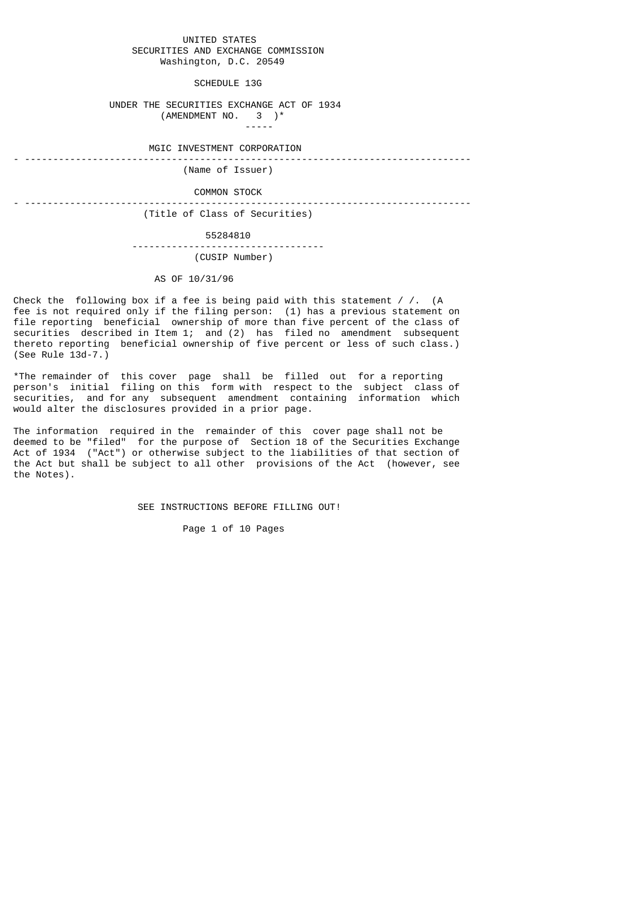### UNITED STATES SECURITIES AND EXCHANGE COMMISSION Washington, D.C. 20549

SCHEDULE 13G

## UNDER THE SECURITIES EXCHANGE ACT OF 1934 (AMENDMENT NO. 3 )\*

-----

MGIC INVESTMENT CORPORATION

- -------------------------------------------------------------------------------

#### (Name of Issuer)

#### COMMON STOCK

- -------------------------------------------------------------------------------

(Title of Class of Securities)

55284810

## ---------------------------------- (CUSIP Number)

# AS OF 10/31/96

Check the following box if a fee is being paid with this statement  $\frac{1}{1}$ . (A fee is not required only if the filing person: (1) has a previous statement on file reporting beneficial ownership of more than five percent of the class of securities described in Item 1; and (2) has filed no amendment subsequent thereto reporting beneficial ownership of five percent or less of such class.) (See Rule 13d-7.)

\*The remainder of this cover page shall be filled out for a reporting person's initial filing on this form with respect to the subject class of securities, and for any subsequent amendment containing information which would alter the disclosures provided in a prior page.

The information required in the remainder of this cover page shall not be deemed to be "filed" for the purpose of Section 18 of the Securities Exchange Act of 1934 ("Act") or otherwise subject to the liabilities of that section of the Act but shall be subject to all other provisions of the Act (however, see the Notes).

SEE INSTRUCTIONS BEFORE FILLING OUT!

Page 1 of 10 Pages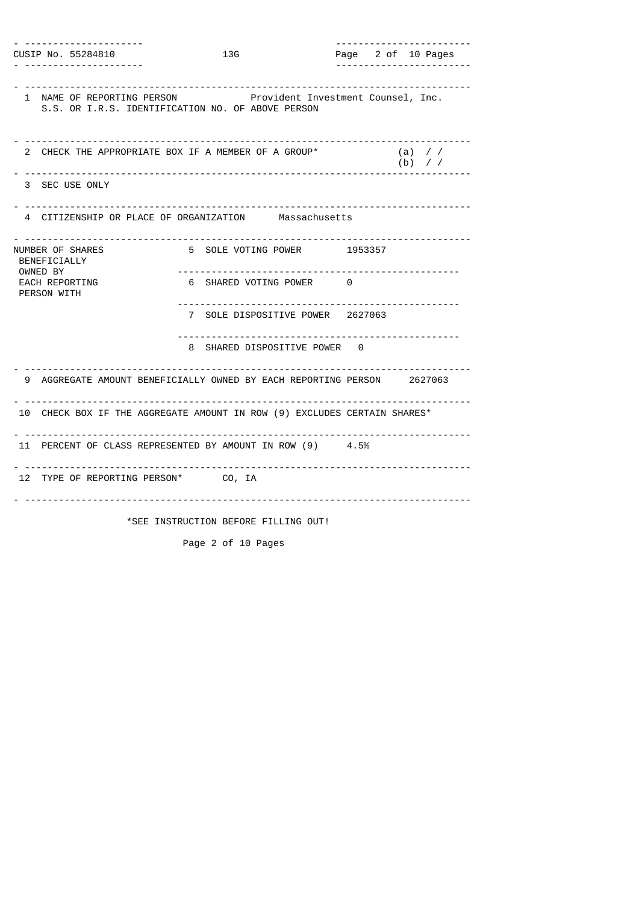- --------------------- ------------------------ Page 2 of 10 Pages - --------------------- ------------------------ - ------------------------------------------------------------------------------- Provident Investment Counsel, Inc. S.S. OR I.R.S. IDENTIFICATION NO. OF ABOVE PERSON - ------------------------------------------------------------------------------- 2 CHECK THE APPROPRIATE BOX IF A MEMBER OF A GROUP\* (a) / / (b) / / - ------------------------------------------------------------------------------- 3 SEC USE ONLY - ------------------------------------------------------------------------------- 4 CITIZENSHIP OR PLACE OF ORGANIZATION - ------------------------------------------------------------------------------- 5 SOLE VOTING POWER 1953357 BENEFICIALLY<br>OWNED BY OWNED BY -------------------------------------------------- EACH REPORTING  $\begin{array}{ccc} 6 & 5H$ ARED VOTING POWER 0 PERSON WITH -------------------------------------------------- 7 SOLE DISPOSITIVE POWER 2627063 -------------------------------------------------- 8 SHARED DISPOSITIVE POWER 0 - ------------------------------------------------------------------------------- 9 AGGREGATE AMOUNT BENEFICIALLY OWNED BY EACH REPORTING PERSON 2627063 - ------------------------------------------------------------------------------- 10 CHECK BOX IF THE AGGREGATE AMOUNT IN ROW (9) EXCLUDES CERTAIN SHARES\* - ------------------------------------------------------------------------------- 11 PERCENT OF CLASS REPRESENTED BY AMOUNT IN ROW (9) 4.5% - ------------------------------------------------------------------------------- 12 TYPE OF REPORTING PERSON\* CO, IA - ------------------------------------------------------------------------------- \*SEE INSTRUCTION BEFORE FILLING OUT!

Page 2 of 10 Pages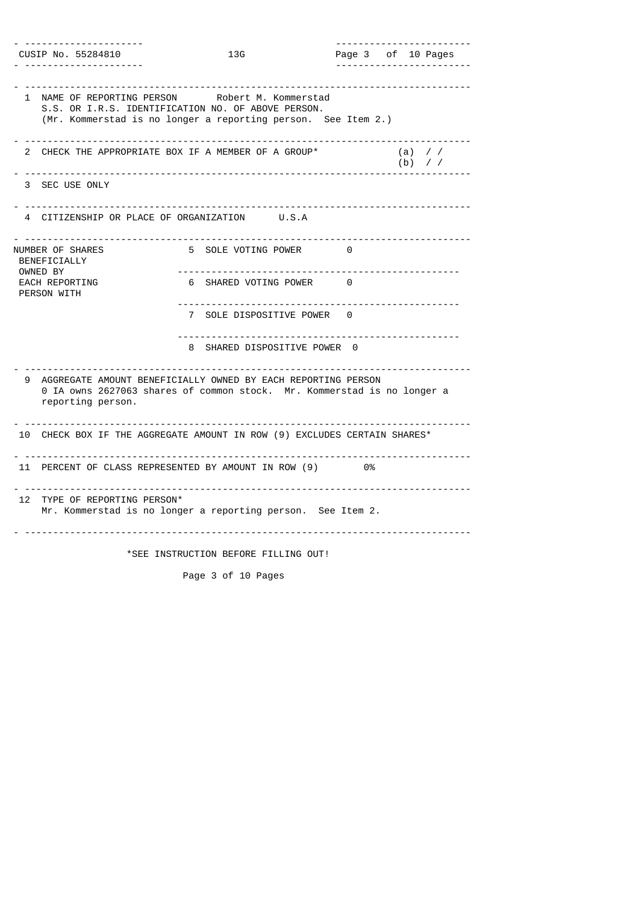|                                              |                                                                                                                                                                        |  |                              | -------------------------                       |  |  |                      |  |
|----------------------------------------------|------------------------------------------------------------------------------------------------------------------------------------------------------------------------|--|------------------------------|-------------------------------------------------|--|--|----------------------|--|
|                                              | CUSIP No. 55284810                                                                                                                                                     |  | 13G                          | Page 3 of 10 Pages<br>------------------------- |  |  |                      |  |
|                                              |                                                                                                                                                                        |  |                              |                                                 |  |  |                      |  |
|                                              | 1 NAME OF REPORTING PERSON Robert M. Kommerstad<br>S.S. OR I.R.S. IDENTIFICATION NO. OF ABOVE PERSON.<br>(Mr. Kommerstad is no longer a reporting person. See Item 2.) |  |                              |                                                 |  |  |                      |  |
|                                              | 2 CHECK THE APPROPRIATE BOX IF A MEMBER OF A GROUP*                                                                                                                    |  |                              |                                                 |  |  | $(a)$ //<br>$(b)$ // |  |
|                                              | 3 SEC USE ONLY                                                                                                                                                         |  |                              |                                                 |  |  |                      |  |
| 4 CITIZENSHIP OR PLACE OF ORGANIZATION U.S.A |                                                                                                                                                                        |  |                              |                                                 |  |  |                      |  |
| NUMBER OF SHARES<br>BENEFICIALLY<br>OWNED BY |                                                                                                                                                                        |  | 5 SOLE VOTING POWER          | 0                                               |  |  |                      |  |
|                                              | EACH REPORTING<br>PERSON WITH                                                                                                                                          |  | 6 SHARED VOTING POWER 0      |                                                 |  |  |                      |  |
|                                              |                                                                                                                                                                        |  | 7 SOLE DISPOSITIVE POWER 0   |                                                 |  |  |                      |  |
|                                              |                                                                                                                                                                        |  | 8 SHARED DISPOSITIVE POWER 0 |                                                 |  |  |                      |  |
| 9                                            | AGGREGATE AMOUNT BENEFICIALLY OWNED BY EACH REPORTING PERSON<br>0 IA owns 2627063 shares of common stock. Mr. Kommerstad is no longer a<br>reporting person.           |  |                              |                                                 |  |  |                      |  |
|                                              | 10 CHECK BOX IF THE AGGREGATE AMOUNT IN ROW (9) EXCLUDES CERTAIN SHARES*                                                                                               |  |                              |                                                 |  |  |                      |  |
|                                              | 11 PERCENT OF CLASS REPRESENTED BY AMOUNT IN ROW (9) 0%                                                                                                                |  |                              |                                                 |  |  |                      |  |
|                                              | 12 TYPE OF REPORTING PERSON*<br>Mr. Kommerstad is no longer a reporting person. See Item 2.                                                                            |  |                              |                                                 |  |  |                      |  |
| *SEE INSTRUCTION BEFORE FILLING OUT!         |                                                                                                                                                                        |  |                              |                                                 |  |  |                      |  |

Page 3 of 10 Pages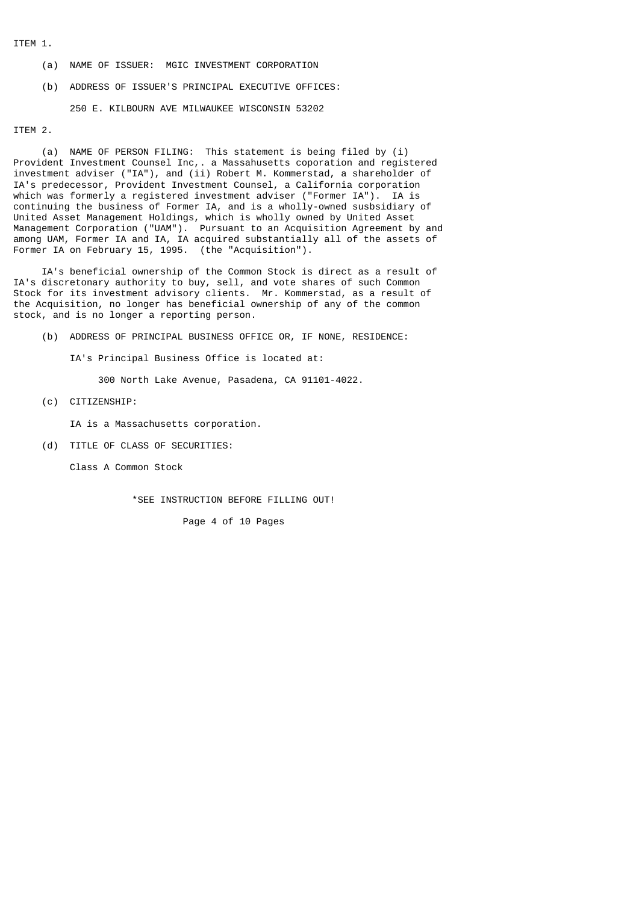ITEM 1.

- (a) NAME OF ISSUER: MGIC INVESTMENT CORPORATION
- (b) ADDRESS OF ISSUER'S PRINCIPAL EXECUTIVE OFFICES:

250 E. KILBOURN AVE MILWAUKEE WISCONSIN 53202

# ITEM 2.

 (a) NAME OF PERSON FILING: This statement is being filed by (i) Provident Investment Counsel Inc,. a Massahusetts coporation and registered investment adviser ("IA"), and (ii) Robert M. Kommerstad, a shareholder of IA's predecessor, Provident Investment Counsel, a California corporation which was formerly a registered investment adviser ("Former IA"). IA is continuing the business of Former IA, and is a wholly-owned susbsidiary of United Asset Management Holdings, which is wholly owned by United Asset Management Corporation ("UAM"). Pursuant to an Acquisition Agreement by and among UAM, Former IA and IA, IA acquired substantially all of the assets of Former IA on February 15, 1995. (the "Acquisition").

 IA's beneficial ownership of the Common Stock is direct as a result of IA's discretonary authority to buy, sell, and vote shares of such Common Stock for its investment advisory clients. Mr. Kommerstad, as a result of the Acquisition, no longer has beneficial ownership of any of the common stock, and is no longer a reporting person.

(b) ADDRESS OF PRINCIPAL BUSINESS OFFICE OR, IF NONE, RESIDENCE:

IA's Principal Business Office is located at:

300 North Lake Avenue, Pasadena, CA 91101-4022.

(c) CITIZENSHIP:

IA is a Massachusetts corporation.

(d) TITLE OF CLASS OF SECURITIES:

Class A Common Stock

\*SEE INSTRUCTION BEFORE FILLING OUT!

Page 4 of 10 Pages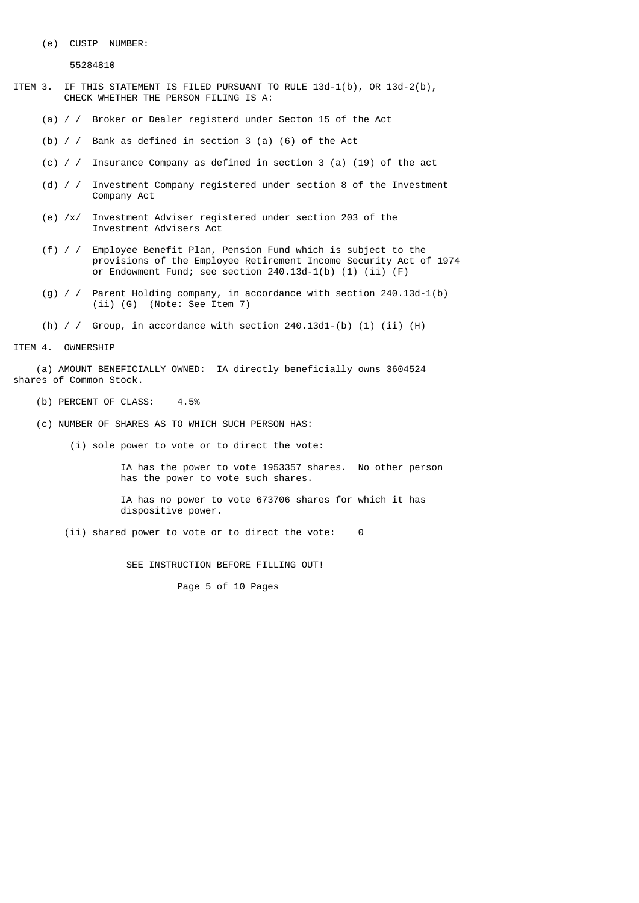(e) CUSIP NUMBER:

55284810

- ITEM 3. IF THIS STATEMENT IS FILED PURSUANT TO RULE 13d-1(b), OR 13d-2(b), CHECK WHETHER THE PERSON FILING IS A:
	- (a) / / Broker or Dealer registerd under Secton 15 of the Act
	- (b) / / Bank as defined in section 3 (a) (6) of the Act
	- (c) / / Insurance Company as defined in section 3 (a) (19) of the act
	- (d) / / Investment Company registered under section 8 of the Investment Company Act
	- (e) /x/ Investment Adviser registered under section 203 of the Investment Advisers Act
	- (f) / / Employee Benefit Plan, Pension Fund which is subject to the provisions of the Employee Retirement Income Security Act of 1974 or Endowment Fund; see section 240.13d-1(b) (1) (ii) (F)
	- (g) / / Parent Holding company, in accordance with section 240.13d-1(b) (ii) (G) (Note: See Item 7)
	- (h)  $\ell$  / Group, in accordance with section 240.13d1-(b) (1) (ii) (H)

## ITEM 4. OWNERSHIP

 (a) AMOUNT BENEFICIALLY OWNED: IA directly beneficially owns 3604524 shares of Common Stock.

- (b) PERCENT OF CLASS: 4.5%
- (c) NUMBER OF SHARES AS TO WHICH SUCH PERSON HAS:
	- (i) sole power to vote or to direct the vote:

 IA has the power to vote 1953357 shares. No other person has the power to vote such shares.

 IA has no power to vote 673706 shares for which it has dispositive power.

(ii) shared power to vote or to direct the vote: 0

SEE INSTRUCTION BEFORE FILLING OUT!

Page 5 of 10 Pages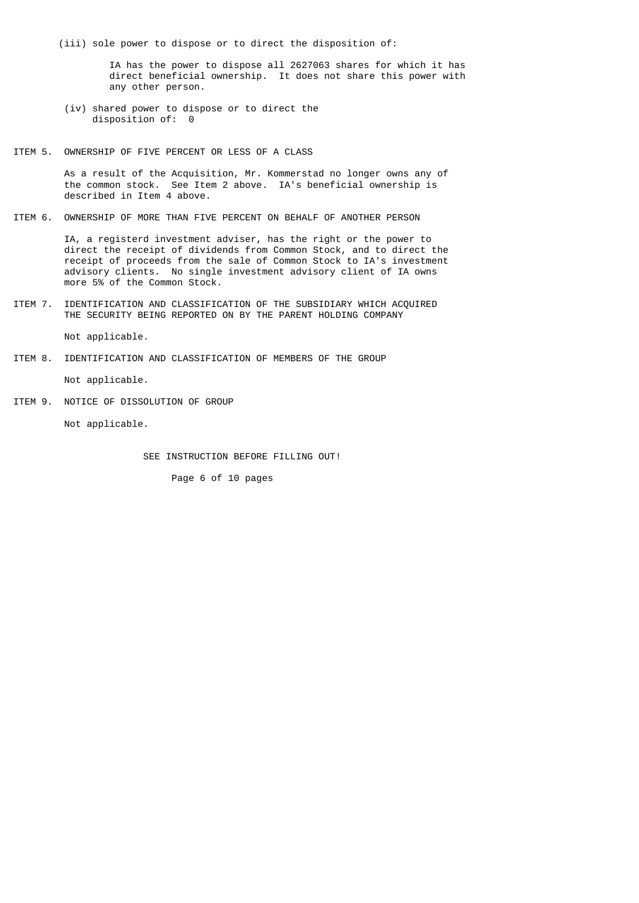(iii) sole power to dispose or to direct the disposition of:

 IA has the power to dispose all 2627063 shares for which it has direct beneficial ownership. It does not share this power with any other person.

- (iv) shared power to dispose or to direct the disposition of: 0
- ITEM 5. OWNERSHIP OF FIVE PERCENT OR LESS OF A CLASS

 As a result of the Acquisition, Mr. Kommerstad no longer owns any of the common stock. See Item 2 above. IA's beneficial ownership is described in Item 4 above.

ITEM 6. OWNERSHIP OF MORE THAN FIVE PERCENT ON BEHALF OF ANOTHER PERSON

 IA, a registerd investment adviser, has the right or the power to direct the receipt of dividends from Common Stock, and to direct the receipt of proceeds from the sale of Common Stock to IA's investment advisory clients. No single investment advisory client of IA owns more 5% of the Common Stock.

ITEM 7. IDENTIFICATION AND CLASSIFICATION OF THE SUBSIDIARY WHICH ACQUIRED THE SECURITY BEING REPORTED ON BY THE PARENT HOLDING COMPANY

Not applicable.

ITEM 8. IDENTIFICATION AND CLASSIFICATION OF MEMBERS OF THE GROUP

Not applicable.

ITEM 9. NOTICE OF DISSOLUTION OF GROUP

Not applicable.

SEE INSTRUCTION BEFORE FILLING OUT!

Page 6 of 10 pages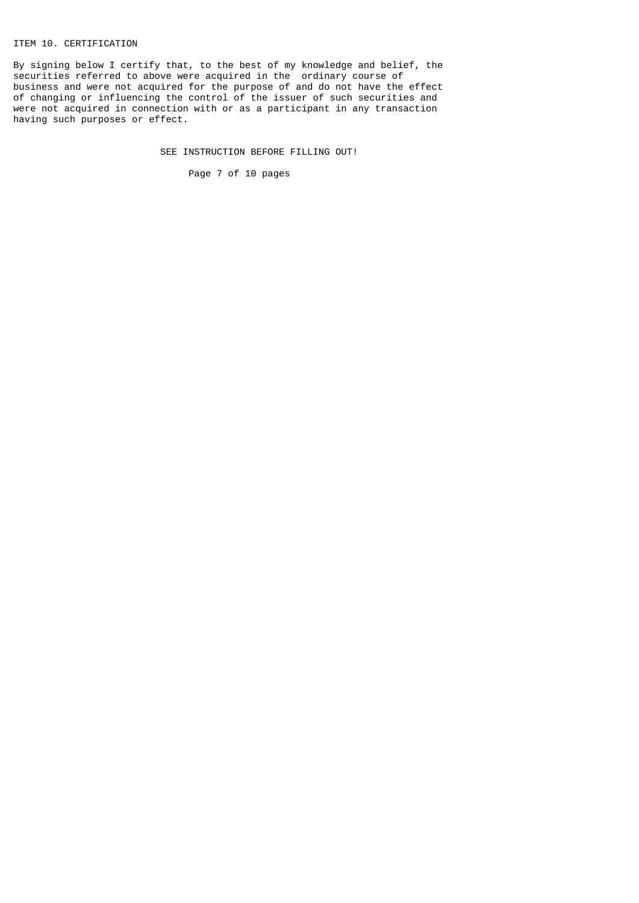# ITEM 10. CERTIFICATION

By signing below I certify that, to the best of my knowledge and belief, the securities referred to above were acquired in the ordinary course of business and were not acquired for the purpose of and do not have the effect of changing or influencing the control of the issuer of such securities and were not acquired in connection with or as a participant in any transaction having such purposes or effect.

SEE INSTRUCTION BEFORE FILLING OUT!

Page 7 of 10 pages